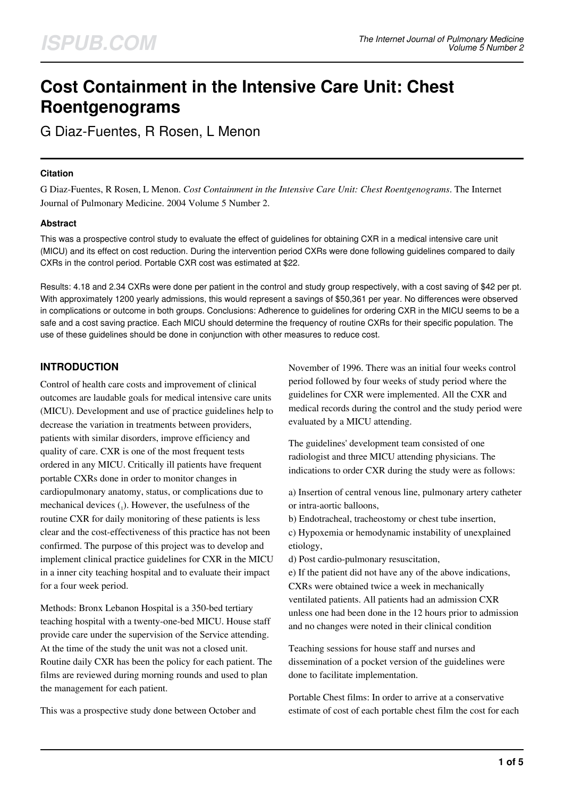# **Cost Containment in the Intensive Care Unit: Chest Roentgenograms**

G Diaz-Fuentes, R Rosen, L Menon

#### **Citation**

G Diaz-Fuentes, R Rosen, L Menon. *Cost Containment in the Intensive Care Unit: Chest Roentgenograms*. The Internet Journal of Pulmonary Medicine. 2004 Volume 5 Number 2.

#### **Abstract**

This was a prospective control study to evaluate the effect of guidelines for obtaining CXR in a medical intensive care unit (MICU) and its effect on cost reduction. During the intervention period CXRs were done following guidelines compared to daily CXRs in the control period. Portable CXR cost was estimated at \$22.

Results: 4.18 and 2.34 CXRs were done per patient in the control and study group respectively, with a cost saving of \$42 per pt. With approximately 1200 yearly admissions, this would represent a savings of \$50,361 per year. No differences were observed in complications or outcome in both groups. Conclusions: Adherence to guidelines for ordering CXR in the MICU seems to be a safe and a cost saving practice. Each MICU should determine the frequency of routine CXRs for their specific population. The use of these guidelines should be done in conjunction with other measures to reduce cost.

## **INTRODUCTION**

Control of health care costs and improvement of clinical outcomes are laudable goals for medical intensive care units (MICU). Development and use of practice guidelines help to decrease the variation in treatments between providers, patients with similar disorders, improve efficiency and quality of care. CXR is one of the most frequent tests ordered in any MICU. Critically ill patients have frequent portable CXRs done in order to monitor changes in cardiopulmonary anatomy, status, or complications due to mechanical devices  $_{1}$ ). However, the usefulness of the routine CXR for daily monitoring of these patients is less clear and the cost-effectiveness of this practice has not been confirmed. The purpose of this project was to develop and implement clinical practice guidelines for CXR in the MICU in a inner city teaching hospital and to evaluate their impact for a four week period.

Methods: Bronx Lebanon Hospital is a 350-bed tertiary teaching hospital with a twenty-one-bed MICU. House staff provide care under the supervision of the Service attending. At the time of the study the unit was not a closed unit. Routine daily CXR has been the policy for each patient. The films are reviewed during morning rounds and used to plan the management for each patient.

This was a prospective study done between October and

November of 1996. There was an initial four weeks control period followed by four weeks of study period where the guidelines for CXR were implemented. All the CXR and medical records during the control and the study period were evaluated by a MICU attending.

The guidelines' development team consisted of one radiologist and three MICU attending physicians. The indications to order CXR during the study were as follows:

a) Insertion of central venous line, pulmonary artery catheter or intra-aortic balloons,

b) Endotracheal, tracheostomy or chest tube insertion, c) Hypoxemia or hemodynamic instability of unexplained etiology,

d) Post cardio-pulmonary resuscitation,

e) If the patient did not have any of the above indications, CXRs were obtained twice a week in mechanically ventilated patients. All patients had an admission CXR unless one had been done in the 12 hours prior to admission and no changes were noted in their clinical condition

Teaching sessions for house staff and nurses and dissemination of a pocket version of the guidelines were done to facilitate implementation.

Portable Chest films: In order to arrive at a conservative estimate of cost of each portable chest film the cost for each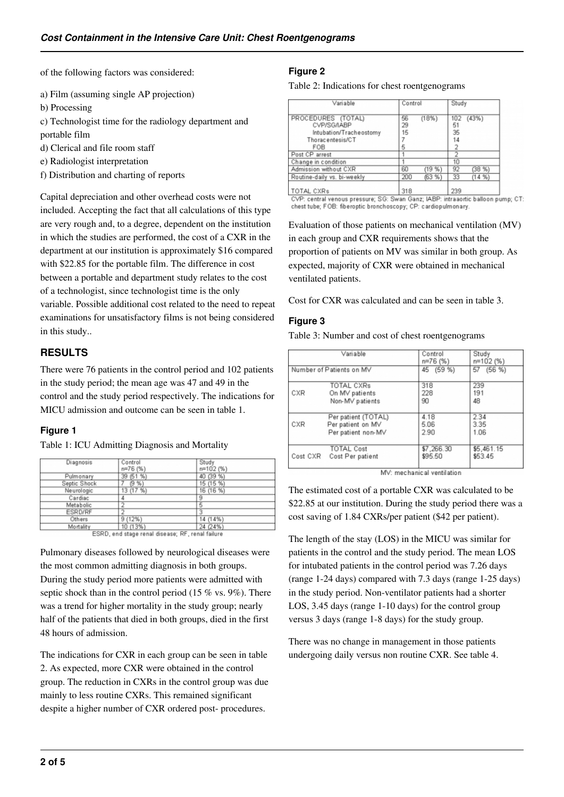of the following factors was considered:

- a) Film (assuming single AP projection)
- b) Processing

c) Technologist time for the radiology department and portable film

- d) Clerical and file room staff
- e) Radiologist interpretation
- f) Distribution and charting of reports

Capital depreciation and other overhead costs were not included. Accepting the fact that all calculations of this type are very rough and, to a degree, dependent on the institution in which the studies are performed, the cost of a CXR in the department at our institution is approximately \$16 compared with \$22.85 for the portable film. The difference in cost between a portable and department study relates to the cost of a technologist, since technologist time is the only variable. Possible additional cost related to the need to repeat examinations for unsatisfactory films is not being considered in this study..

## **RESULTS**

There were 76 patients in the control period and 102 patients in the study period; the mean age was 47 and 49 in the control and the study period respectively. The indications for MICU admission and outcome can be seen in table 1.

### **Figure 1**

Table 1: ICU Admitting Diagnosis and Mortality

| Diagnosis      | Control   | Study     |  |
|----------------|-----------|-----------|--|
|                | $n=76(%)$ | n=102 (%) |  |
| Pulmonary      | 39 (51 %) | 40 (39 %) |  |
| Septic Shock   | (9%       | 15 (15 %) |  |
| Neurologic     | 13 (17 %) | 16 (16 %) |  |
| Cardiac        |           | 9         |  |
| Metabolic      |           | 5         |  |
| <b>ESRD/RF</b> |           |           |  |
| Others         | 9(12%)    | 14 (14%)  |  |
| Mortality      | 10 (13%)  | 24 (24%)  |  |

ESRD, end stage renal disease; RF, renal failure

Pulmonary diseases followed by neurological diseases were the most common admitting diagnosis in both groups. During the study period more patients were admitted with septic shock than in the control period (15 % vs. 9%). There was a trend for higher mortality in the study group; nearly half of the patients that died in both groups, died in the first 48 hours of admission.

The indications for CXR in each group can be seen in table 2. As expected, more CXR were obtained in the control group. The reduction in CXRs in the control group was due mainly to less routine CXRs. This remained significant despite a higher number of CXR ordered post- procedures.

## **Figure 2**

#### Table 2: Indications for chest roentgenograms

| Variable                                                                                | Control        |       | Study   |           |
|-----------------------------------------------------------------------------------------|----------------|-------|---------|-----------|
| PROCEDURES (TOTAL)<br>CVP/SG/IABP<br>Intubation/Tracheostomy<br>Thoracentesis/CT<br>FOB | 56<br>29<br>15 | (18%) | 5<br>35 | 102 (43%) |
| Post CP arrest                                                                          |                |       |         |           |
| Change in condition                                                                     |                |       | 10      |           |
| Admission without CXR                                                                   | 60             | (19%  | 92      | (38%)     |
| Routine-daily vs. bi-weekly                                                             | 200            | (63%) | 33      | (14%      |
|                                                                                         |                |       |         |           |

TOTAL CXRs 318  $239$ CVP: central venous pressure; SG: Swan Ganz; IABP: intraaortic balloon pump; CT: chest tube; FOB: fiberoptic bronchoscopy; CP: cardiopulmonary.

Evaluation of those patients on mechanical ventilation (MV) in each group and CXR requirements shows that the proportion of patients on MV was similar in both group. As expected, majority of CXR were obtained in mechanical ventilated patients.

Cost for CXR was calculated and can be seen in table 3.

#### **Figure 3**

Table 3: Number and cost of chest roentgenograms

| Variable<br>Number of Patients on MV |                     | Control<br>n=76 (%) | Study<br>n=102 (%)<br>57 (56 %) |  |
|--------------------------------------|---------------------|---------------------|---------------------------------|--|
|                                      |                     | 45 (59 %)           |                                 |  |
| CXR                                  | <b>TOTAL CXRs</b>   | 318                 | 239                             |  |
|                                      | On MV patients      | 228                 | 191                             |  |
|                                      | Non-MV patients     | 90                  | 48                              |  |
| CXR                                  | Per patient (TOTAL) | 4.18                | 2.34                            |  |
|                                      | Per patient on MV   | 5.06                | 3.35                            |  |
|                                      | Per patient non-MV  | 2.90                | 1.06                            |  |
| Cost CXR                             | <b>TOTAL Cost</b>   | \$7,266.30          | \$5,461.15                      |  |
|                                      | Cost Per patient    | \$95.50             | \$53.45                         |  |

MV: mechanical ventilation

The estimated cost of a portable CXR was calculated to be \$22.85 at our institution. During the study period there was a cost saving of 1.84 CXRs/per patient (\$42 per patient).

The length of the stay (LOS) in the MICU was similar for patients in the control and the study period. The mean LOS for intubated patients in the control period was 7.26 days (range 1-24 days) compared with 7.3 days (range 1-25 days) in the study period. Non-ventilator patients had a shorter LOS, 3.45 days (range 1-10 days) for the control group versus 3 days (range 1-8 days) for the study group.

There was no change in management in those patients undergoing daily versus non routine CXR. See table 4.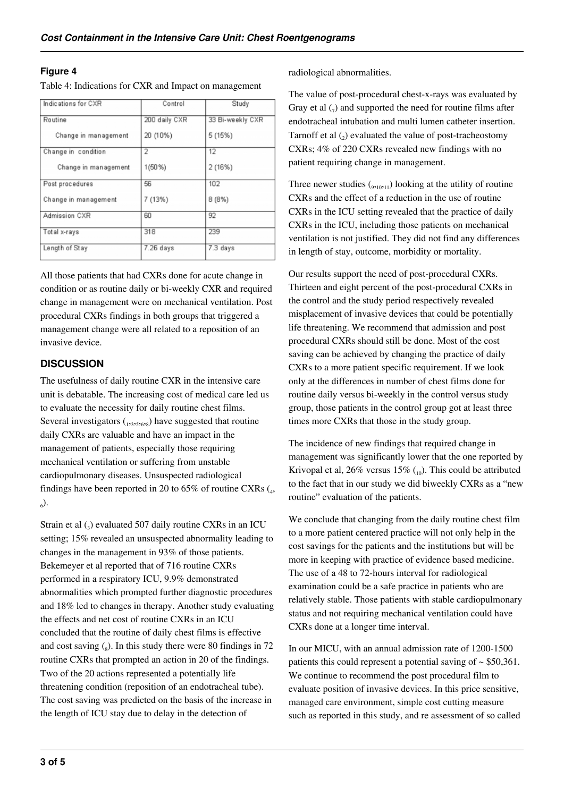#### **Figure 4**

Table 4: Indications for CXR and Impact on management

| Indications for CXR  | Control       | Study            |
|----------------------|---------------|------------------|
| Routine              | 200 daily CXR | 33 Bi-weekly CXR |
| Change in management | 20 (10%)      | 5(15%)           |
| Change in condition  | 2             | 12               |
| Change in management | $1(50\%)$     | 2(16%)           |
| Post procedures      | 56            | 102              |
| Change in management | 7 (13%)       | 8(8%)            |
| Admission CXR        | 60            | 92               |
| Total x-rays         | 318           | 239              |
| Length of Stay       | $7.26$ days   | 7.3 days         |

All those patients that had CXRs done for acute change in condition or as routine daily or bi-weekly CXR and required change in management were on mechanical ventilation. Post procedural CXRs findings in both groups that triggered a management change were all related to a reposition of an invasive device.

## **DISCUSSION**

The usefulness of daily routine CXR in the intensive care unit is debatable. The increasing cost of medical care led us to evaluate the necessity for daily routine chest films. Several investigators  $_{1,3,5,6,8}$ ) have suggested that routine daily CXRs are valuable and have an impact in the management of patients, especially those requiring mechanical ventilation or suffering from unstable cardiopulmonary diseases. Unsuspected radiological findings have been reported in 20 to  $65\%$  of routine CXRs  $(_4$ ,  $_{6}$ ).

Strain et al  $\left($ <sub>3</sub>) evaluated 507 daily routine CXRs in an ICU setting; 15% revealed an unsuspected abnormality leading to changes in the management in 93% of those patients. Bekemeyer et al reported that of 716 routine CXRs performed in a respiratory ICU, 9.9% demonstrated abnormalities which prompted further diagnostic procedures and 18% led to changes in therapy. Another study evaluating the effects and net cost of routine CXRs in an ICU concluded that the routine of daily chest films is effective and cost saving  $\binom{8}{8}$ . In this study there were 80 findings in 72 routine CXRs that prompted an action in 20 of the findings. Two of the 20 actions represented a potentially life threatening condition (reposition of an endotracheal tube). The cost saving was predicted on the basis of the increase in the length of ICU stay due to delay in the detection of

radiological abnormalities.

The value of post-procedural chest-x-rays was evaluated by Gray et al  $\left($ <sub>7</sub>) and supported the need for routine films after endotracheal intubation and multi lumen catheter insertion. Tarnoff et al  $(_{2})$  evaluated the value of post-tracheostomy CXRs; 4% of 220 CXRs revealed new findings with no patient requiring change in management.

Three newer studies  $\binom{9}{9,10,11}$  looking at the utility of routine CXRs and the effect of a reduction in the use of routine CXRs in the ICU setting revealed that the practice of daily CXRs in the ICU, including those patients on mechanical ventilation is not justified. They did not find any differences in length of stay, outcome, morbidity or mortality.

Our results support the need of post-procedural CXRs. Thirteen and eight percent of the post-procedural CXRs in the control and the study period respectively revealed misplacement of invasive devices that could be potentially life threatening. We recommend that admission and post procedural CXRs should still be done. Most of the cost saving can be achieved by changing the practice of daily CXRs to a more patient specific requirement. If we look only at the differences in number of chest films done for routine daily versus bi-weekly in the control versus study group, those patients in the control group got at least three times more CXRs that those in the study group.

The incidence of new findings that required change in management was significantly lower that the one reported by Krivopal et al,  $26\%$  versus  $15\%$  (10). This could be attributed to the fact that in our study we did biweekly CXRs as a "new routine" evaluation of the patients.

We conclude that changing from the daily routine chest film to a more patient centered practice will not only help in the cost savings for the patients and the institutions but will be more in keeping with practice of evidence based medicine. The use of a 48 to 72-hours interval for radiological examination could be a safe practice in patients who are relatively stable. Those patients with stable cardiopulmonary status and not requiring mechanical ventilation could have CXRs done at a longer time interval.

In our MICU, with an annual admission rate of 1200-1500 patients this could represent a potential saving of  $\sim$  \$50,361. We continue to recommend the post procedural film to evaluate position of invasive devices. In this price sensitive, managed care environment, simple cost cutting measure such as reported in this study, and re assessment of so called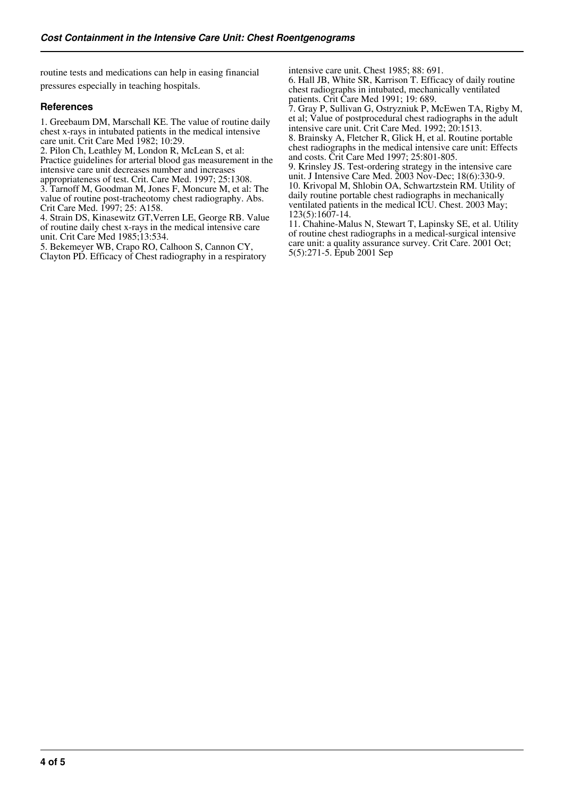routine tests and medications can help in easing financial pressures especially in teaching hospitals.

#### **References**

1. Greebaum DM, Marschall KE. The value of routine daily chest x-rays in intubated patients in the medical intensive care unit. Crit Care Med 1982; 10:29.

2. Pilon Ch, Leathley M, London R, McLean S, et al:

Practice guidelines for arterial blood gas measurement in the intensive care unit decreases number and increases

appropriateness of test. Crit. Care Med. 1997; 25:1308.

3. Tarnoff M, Goodman M, Jones F, Moncure M, et al: The value of routine post-tracheotomy chest radiography. Abs. Crit Care Med. 1997; 25: A158.

4. Strain DS, Kinasewitz GT,Verren LE, George RB. Value of routine daily chest x-rays in the medical intensive care unit. Crit Care Med 1985;13:534.

5. Bekemeyer WB, Crapo RO, Calhoon S, Cannon CY, Clayton PD. Efficacy of Chest radiography in a respiratory intensive care unit. Chest 1985; 88: 691.

6. Hall JB, White SR, Karrison T. Efficacy of daily routine chest radiographs in intubated, mechanically ventilated patients. Crit Care Med 1991; 19: 689.

7. Gray P, Sullivan G, Ostryzniuk P, McEwen TA, Rigby M, et al; Value of postprocedural chest radiographs in the adult intensive care unit. Crit Care Med. 1992; 20:1513.

8. Brainsky A, Fletcher R, Glick H, et al. Routine portable chest radiographs in the medical intensive care unit: Effects and costs. Crit Care Med 1997; 25:801-805.

9. Krinsley JS. Test-ordering strategy in the intensive care unit. J Intensive Care Med. 2003 Nov-Dec; 18(6):330-9. 10. Krivopal M, Shlobin OA, Schwartzstein RM. Utility of daily routine portable chest radiographs in mechanically ventilated patients in the medical ICU. Chest. 2003 May; 123(5):1607-14.

11. Chahine-Malus N, Stewart T, Lapinsky SE, et al. Utility of routine chest radiographs in a medical-surgical intensive care unit: a quality assurance survey. Crit Care. 2001 Oct; 5(5):271-5. Epub 2001 Sep